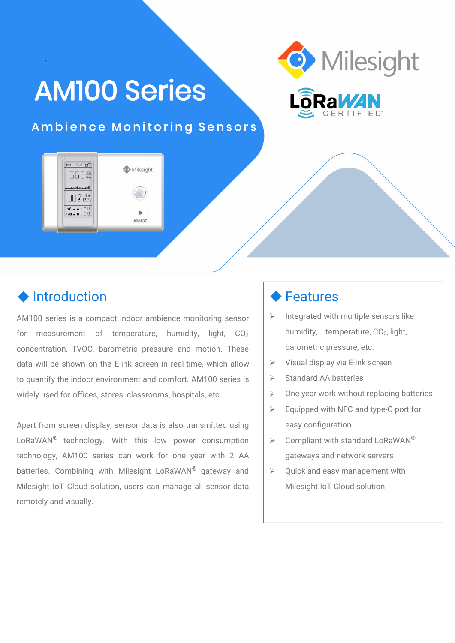# AM100 Series



#### Ambience Monitoring Sensors

Milesight

AM107

### $\triangle$  Introduction

-

5600

ЭП.2 чг.г»  $* - 100$ 

AM100 series is a compact indoor ambience monitoring sensor  $\|\cdot\|$ for measurement of temperature, humidity, light,  $CO<sub>2</sub>$ concentration, TVOC, barometric pressure and motion. These data will be shown on the E-ink screen in real-time, which allow  $\Box$ to quantify the indoor environment and comfort. AM100 series is  $\rightarrow$ widely used for offices, stores, classrooms, hospitals, etc.

Apart from screen display, sensor data is also transmitted using LoRaWAN<sup>®</sup> technology. With this low power consumption  $\vert\,$  > Compliant $\,$  with technology, AM100 series can work for one year with 2 AA batteries. Combining with Milesight LoRaWAN® gateway and  $\quad$   $\triangleright$  Quick and eas Milesight IoT Cloud solution, users can manage all sensor data remotely and visually.

#### **◆ Features**

- Integrated with multiple sensors like humidity, temperature, CO<sub>2</sub>, light, barometric pressure, etc.
- Visual display via E-ink screen
- Standard AA batteries
- $\triangleright$  One year work without replacing batteries
- $\triangleright$  Equipped with NFC and type-C port for easy configuration
- $\triangleright$  Compliant with standard LoRaWAN<sup>®</sup> ® gateways and network servers
- $\triangleright$  Quick and easy management with Milesight IoT Cloud solution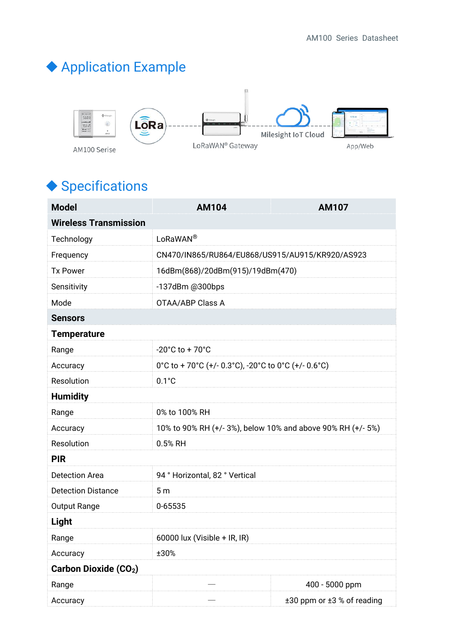## Application Example



## ◆ Specifications

| <b>Model</b>                 | <b>AM104</b>                                              | <b>AM107</b>               |  |  |
|------------------------------|-----------------------------------------------------------|----------------------------|--|--|
| <b>Wireless Transmission</b> |                                                           |                            |  |  |
| Technology                   | LoRaWAN®                                                  |                            |  |  |
| Frequency                    | CN470/IN865/RU864/EU868/US915/AU915/KR920/AS923           |                            |  |  |
| <b>Tx Power</b>              | 16dBm(868)/20dBm(915)/19dBm(470)                          |                            |  |  |
| Sensitivity                  | -137dBm @300bps                                           |                            |  |  |
| Mode                         | OTAA/ABP Class A                                          |                            |  |  |
| <b>Sensors</b>               |                                                           |                            |  |  |
| <b>Temperature</b>           |                                                           |                            |  |  |
| Range                        | $-20^{\circ}$ C to + 70 $^{\circ}$ C                      |                            |  |  |
| Accuracy                     | 0°C to + 70°C (+/- 0.3°C), -20°C to 0°C (+/- 0.6°C)       |                            |  |  |
| Resolution                   | $0.1^{\circ}$ C                                           |                            |  |  |
| <b>Humidity</b>              |                                                           |                            |  |  |
| Range                        | 0% to 100% RH                                             |                            |  |  |
| Accuracy                     | 10% to 90% RH (+/-3%), below 10% and above 90% RH (+/-5%) |                            |  |  |
| Resolution                   | 0.5% RH                                                   |                            |  |  |
| <b>PIR</b>                   |                                                           |                            |  |  |
| <b>Detection Area</b>        | 94 ° Horizontal, 82 ° Vertical                            |                            |  |  |
| <b>Detection Distance</b>    | 5 <sub>m</sub>                                            |                            |  |  |
| <b>Output Range</b>          | 0-65535                                                   |                            |  |  |
| <b>Light</b>                 |                                                           |                            |  |  |
| Range                        | 60000 lux (Visible + IR, IR)                              |                            |  |  |
| Accuracy                     | ±30%                                                      |                            |  |  |
| <b>Carbon Dioxide (CO2)</b>  |                                                           |                            |  |  |
| Range                        |                                                           | 400 - 5000 ppm             |  |  |
| Accuracy                     |                                                           | ±30 ppm or ±3 % of reading |  |  |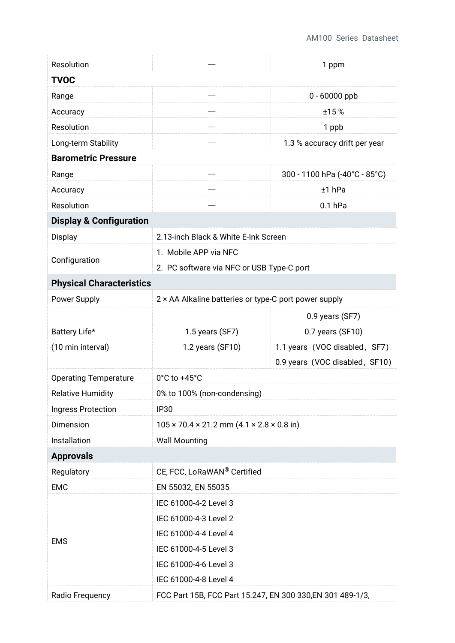| Resolution                         |                                                                   | 1 ppm                          |  |  |
|------------------------------------|-------------------------------------------------------------------|--------------------------------|--|--|
| <b>TVOC</b>                        |                                                                   |                                |  |  |
| Range                              | $\overline{\phantom{0}}$                                          | 0 - 60000 ppb                  |  |  |
| Accuracy                           |                                                                   | ±15%                           |  |  |
| Resolution                         |                                                                   | 1 ppb                          |  |  |
| Long-term Stability                |                                                                   | 1.3 % accuracy drift per year  |  |  |
| <b>Barometric Pressure</b>         |                                                                   |                                |  |  |
| Range                              |                                                                   | 300 - 1100 hPa (-40°C - 85°C)  |  |  |
| Accuracy                           |                                                                   | $±1$ hPa                       |  |  |
| Resolution                         |                                                                   | $0.1$ hPa                      |  |  |
| <b>Display &amp; Configuration</b> |                                                                   |                                |  |  |
| Display                            | 2.13-inch Black & White E-Ink Screen                              |                                |  |  |
| Configuration                      | 1. Mobile APP via NFC                                             |                                |  |  |
|                                    | 2. PC software via NFC or USB Type-C port                         |                                |  |  |
| <b>Physical Characteristics</b>    |                                                                   |                                |  |  |
| Power Supply                       | 2 × AA Alkaline batteries or type-C port power supply             |                                |  |  |
|                                    |                                                                   | 0.9 years (SF7)                |  |  |
| Battery Life*                      | 1.5 years (SF7)                                                   | 0.7 years (SF10)               |  |  |
| (10 min interval)                  | 1.2 years (SF10)                                                  | 1.1 years (VOC disabled, SF7)  |  |  |
|                                    |                                                                   | 0.9 years (VOC disabled, SF10) |  |  |
| <b>Operating Temperature</b>       | $0^{\circ}$ C to +45 $^{\circ}$ C                                 |                                |  |  |
| <b>Relative Humidity</b>           | 0% to 100% (non-condensing)                                       |                                |  |  |
| Ingress Protection                 | <b>IP30</b>                                                       |                                |  |  |
| Dimension                          | $105 \times 70.4 \times 21.2$ mm $(4.1 \times 2.8 \times 0.8$ in) |                                |  |  |
| Installation                       | <b>Wall Mounting</b>                                              |                                |  |  |
| <b>Approvals</b>                   |                                                                   |                                |  |  |
| Regulatory                         | CE, FCC, LoRaWAN® Certified                                       |                                |  |  |
| EMC                                | EN 55032, EN 55035                                                |                                |  |  |
|                                    | IEC 61000-4-2 Level 3                                             |                                |  |  |
|                                    | IEC 61000-4-3 Level 2                                             |                                |  |  |
| <b>EMS</b>                         | IEC 61000-4-4 Level 4                                             |                                |  |  |
|                                    | IEC 61000-4-5 Level 3                                             |                                |  |  |
|                                    | IEC 61000-4-6 Level 3                                             |                                |  |  |
|                                    | IEC 61000-4-8 Level 4                                             |                                |  |  |
| Radio Frequency                    | FCC Part 15B, FCC Part 15.247, EN 300 330, EN 301 489-1/3,        |                                |  |  |